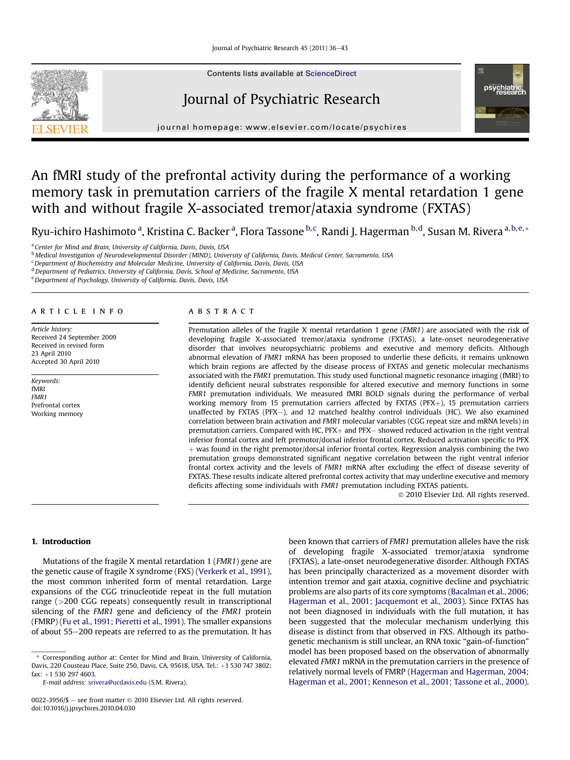

Contents lists available at ScienceDirect

## Journal of Psychiatric Research



 $j<sub>i</sub>$  and the page: where  $i<sub>i</sub>$  is the company companion

# An fMRI study of the prefrontal activity during the performance of a working memory task in premutation carriers of the fragile X mental retardation 1 gene with and without fragile X-associated tremor/ataxia syndrome (FXTAS)

Ryu-ichiro Hashimoto <sup>a</sup>, Kristina C. Backer <sup>a</sup>, Flora Tassone <sup>b, c</sup>, Randi J. Hagerman <sup>b, d</sup>, Susan M. Rivera <sup>a, b, e,</sup> \*

<sup>a</sup> Center for Mind and Brain, University of California, Davis, Davis, USA

**b** Medical Investigation of Neurodevelopmental Disorder (MIND), University of California, Davis, Medical Center, Sacramento, USA

<sup>c</sup> Department of Biochemistry and Molecular Medicine, University of California, Davis, Davis, USA

<sup>d</sup> Department of Pediatrics, University of California, Davis, School of Medicine, Sacramento, USA

e Department of Psychology, University of California, Davis, Davis, USA

## article info

Article history: Received 24 September 2009 Received in revised form 23 April 2010 Accepted 30 April 2010

Keywords: fMRI FMR1 Prefrontal cortex Working memory

#### ABSTRACT

Premutation alleles of the fragile X mental retardation 1 gene (FMR1) are associated with the risk of developing fragile X-associated tremor/ataxia syndrome (FXTAS), a late-onset neurodegenerative disorder that involves neuropsychiatric problems and executive and memory deficits. Although abnormal elevation of FMR1 mRNA has been proposed to underlie these deficits, it remains unknown which brain regions are affected by the disease process of FXTAS and genetic molecular mechanisms associated with the FMR1 premutation. This study used functional magnetic resonance imaging (fMRI) to identify deficient neural substrates responsible for altered executive and memory functions in some FMR1 premutation individuals. We measured fMRI BOLD signals during the performance of verbal working memory from 15 premutation carriers affected by FXTAS (PFX $+$ ), 15 premutation carriers unaffected by FXTAS (PFX-), and 12 matched healthy control individuals (HC). We also examined correlation between brain activation and FMR1 molecular variables (CGG repeat size and mRNA levels) in  $p$ remutation carriers. Compared with HC, PFX $+$  and PFX $-$  showed reduced activation in the right ventral inferior frontal cortex and left premotor/dorsal inferior frontal cortex. Reduced activation specific to PFX  $+$  was found in the right premotor/dorsal inferior frontal cortex. Regression analysis combining the two premutation groups demonstrated significant negative correlation between the right ventral inferior frontal cortex activity and the levels of FMR1 mRNA after excluding the effect of disease severity of FXTAS. These results indicate altered prefrontal cortex activity that may underline executive and memory deficits affecting some individuals with FMR1 premutation including FXTAS patients.

2010 Elsevier Ltd. All rights reserved.

## 1. Introduction

Mutations of the fragile X mental retardation 1 (FMR1) gene are the genetic cause of fragile X syndrome (FXS) ([Verkerk et al., 1991\)](#page-7-0), the most common inherited form of mental retardation. Large expansions of the CGG trinucleotide repeat in the full mutation range (>200 CGG repeats) consequently result in transcriptional silencing of the FMR1 gene and deficiency of the FMR1 protein (FMRP) [\(Fu et al., 1991; Pieretti et al., 1991](#page-6-0)). The smaller expansions of about 55-200 repeats are referred to as the premutation. It has been known that carriers of FMR1 premutation alleles have the risk of developing fragile X-associated tremor/ataxia syndrome (FXTAS), a late-onset neurodegenerative disorder. Although FXTAS has been principally characterized as a movement disorder with intention tremor and gait ataxia, cognitive decline and psychiatric problems are also parts of its core symptoms [\(Bacalman et al., 2006;](#page-6-0) [Hagerman et al., 2001; Jacquemont et al., 2003\)](#page-6-0). Since FXTAS has not been diagnosed in individuals with the full mutation, it has been suggested that the molecular mechanism underlying this disease is distinct from that observed in FXS. Although its pathogenetic mechanism is still unclear, an RNA toxic "gain-of-function" model has been proposed based on the observation of abnormally elevated FMR1 mRNA in the premutation carriers in the presence of relatively normal levels of FMRP [\(Hagerman and Hagerman, 2004;](#page-6-0) [Hagerman et al., 2001; Kenneson et al., 2001; Tassone et al., 2000\)](#page-6-0).

<sup>\*</sup> Corresponding author at: Center for Mind and Brain, University of California, Davis, 220 Cousteau Place, Suite 250, Davis, CA, 95618, USA. Tel.: +1 530 747 3802; fax: +1 530 297 4603.

E-mail address: [srivera@ucdavis.edu](mailto:srivera@ucdavis.edu) (S.M. Rivera).

<sup>0022-3956/\$ -</sup> see front matter  $\odot$  2010 Elsevier Ltd. All rights reserved. doi:10.1016/j.jpsychires.2010.04.030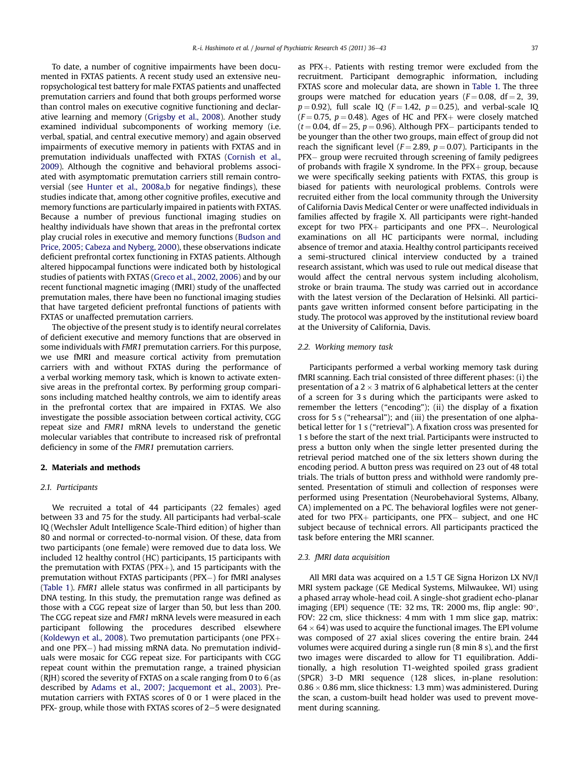<span id="page-1-0"></span>To date, a number of cognitive impairments have been documented in FXTAS patients. A recent study used an extensive neuropsychological test battery for male FXTAS patients and unaffected premutation carriers and found that both groups performed worse than control males on executive cognitive functioning and declarative learning and memory ([Grigsby et al., 2008](#page-6-0)). Another study examined individual subcomponents of working memory (i.e. verbal, spatial, and central executive memory) and again observed impairments of executive memory in patients with FXTAS and in premutation individuals unaffected with FXTAS ([Cornish et al.,](#page-6-0) [2009\)](#page-6-0). Although the cognitive and behavioral problems associated with asymptomatic premutation carriers still remain controversial (see [Hunter et al., 2008a,b](#page-6-0) for negative findings), these studies indicate that, among other cognitive profiles, executive and memory functions are particularly impaired in patients with FXTAS. Because a number of previous functional imaging studies on healthy individuals have shown that areas in the prefrontal cortex play crucial roles in executive and memory functions ([Budson and](#page-6-0) [Price, 2005; Cabeza and Nyberg, 2000](#page-6-0)), these observations indicate deficient prefrontal cortex functioning in FXTAS patients. Although altered hippocampal functions were indicated both by histological studies of patients with FXTAS ([Greco et al., 2002, 2006\)](#page-6-0) and by our recent functional magnetic imaging (fMRI) study of the unaffected premutation males, there have been no functional imaging studies that have targeted deficient prefrontal functions of patients with FXTAS or unaffected premutation carriers.

The objective of the present study is to identify neural correlates of deficient executive and memory functions that are observed in some individuals with FMR1 premutation carriers. For this purpose, we use fMRI and measure cortical activity from premutation carriers with and without FXTAS during the performance of a verbal working memory task, which is known to activate extensive areas in the prefrontal cortex. By performing group comparisons including matched healthy controls, we aim to identify areas in the prefrontal cortex that are impaired in FXTAS. We also investigate the possible association between cortical activity, CGG repeat size and FMR1 mRNA levels to understand the genetic molecular variables that contribute to increased risk of prefrontal deficiency in some of the FMR1 premutation carriers.

## 2. Materials and methods

#### 2.1. Participants

We recruited a total of 44 participants (22 females) aged between 33 and 75 for the study. All participants had verbal-scale IQ (Wechsler Adult Intelligence Scale-Third edition) of higher than 80 and normal or corrected-to-normal vision. Of these, data from two participants (one female) were removed due to data loss. We included 12 healthy control (HC) participants, 15 participants with the premutation with FXTAS (PFX $+$ ), and 15 participants with the premutation without FXTAS participants (PFX-) for fMRI analyses ([Table 1](#page-2-0)). FMR1 allele status was confirmed in all participants by DNA testing. In this study, the premutation range was defined as those with a CGG repeat size of larger than 50, but less than 200. The CGG repeat size and FMR1 mRNA levels were measured in each participant following the procedures described elsewhere ([Koldewyn et al., 2008\)](#page-6-0). Two premutation participants (one  $PFX+$ and one PFX-) had missing mRNA data. No premutation individuals were mosaic for CGG repeat size. For participants with CGG repeat count within the premutation range, a trained physician (RJH) scored the severity of FXTAS on a scale ranging from 0 to 6 (as described by [Adams et al., 2007; Jacquemont et al., 2003](#page-6-0)). Premutation carriers with FXTAS scores of 0 or 1 were placed in the PFX- group, while those with FXTAS scores of  $2-5$  were designated as  $PFX+$ . Patients with resting tremor were excluded from the recruitment. Participant demographic information, including FXTAS score and molecular data, are shown in [Table 1.](#page-2-0) The three groups were matched for education years ( $F = 0.08$ , df = 2, 39,  $p = 0.92$ ), full scale IQ ( $F = 1.42$ ,  $p = 0.25$ ), and verbal-scale IQ  $(F = 0.75, p = 0.48)$ . Ages of HC and PFX+ were closely matched  $(t = 0.04, df = 25, p = 0.96)$ . Although PFX- participants tended to be younger than the other two groups, main effect of group did not reach the significant level ( $F = 2.89$ ,  $p = 0.07$ ). Participants in the PFX- group were recruited through screening of family pedigrees of probands with fragile X syndrome. In the  $PFX+$  group, because we were specifically seeking patients with FXTAS, this group is biased for patients with neurological problems. Controls were recruited either from the local community through the University of California Davis Medical Center or were unaffected individuals in families affected by fragile X. All participants were right-handed  $except$  for two  $PFX+$  participants and one  $PFX-$ . Neurological examinations on all HC participants were normal, including absence of tremor and ataxia. Healthy control participants received a semi-structured clinical interview conducted by a trained research assistant, which was used to rule out medical disease that would affect the central nervous system including alcoholism, stroke or brain trauma. The study was carried out in accordance with the latest version of the Declaration of Helsinki. All participants gave written informed consent before participating in the study. The protocol was approved by the institutional review board at the University of California, Davis.

## 2.2. Working memory task

Participants performed a verbal working memory task during fMRI scanning. Each trial consisted of three different phases: (i) the presentation of a  $2 \times 3$  matrix of 6 alphabetical letters at the center of a screen for 3 s during which the participants were asked to remember the letters ("encoding"); (ii) the display of a fixation cross for 5 s ("rehearsal"); and (iii) the presentation of one alphabetical letter for 1 s ("retrieval"). A fixation cross was presented for 1 s before the start of the next trial. Participants were instructed to press a button only when the single letter presented during the retrieval period matched one of the six letters shown during the encoding period. A button press was required on 23 out of 48 total trials. The trials of button press and withhold were randomly presented. Presentation of stimuli and collection of responses were performed using Presentation (Neurobehavioral Systems, Albany, CA) implemented on a PC. The behavioral logfiles were not generated for two  $PFX+$  participants, one  $PFX-$  subject, and one HC subject because of technical errors. All participants practiced the task before entering the MRI scanner.

## 2.3. fMRI data acquisition

All MRI data was acquired on a 1.5 T GE Signa Horizon LX NV/I MRI system package (GE Medical Systems, Milwaukee, WI) using a phased array whole-head coil. A single-shot gradient echo-planar imaging (EPI) sequence (TE: 32 ms, TR: 2000 ms, flip angle:  $90^{\circ}$ , FOV: 22 cm, slice thickness: 4 mm with 1 mm slice gap, matrix:  $64 \times 64$ ) was used to acquire the functional images. The EPI volume was composed of 27 axial slices covering the entire brain. 244 volumes were acquired during a single run (8 min 8 s), and the first two images were discarded to allow for T1 equilibration. Additionally, a high resolution T1-weighted spoiled grass gradient (SPGR) 3-D MRI sequence (128 slices, in-plane resolution:  $0.86 \times 0.86$  mm, slice thickness: 1.3 mm) was administered. During the scan, a custom-built head holder was used to prevent movement during scanning.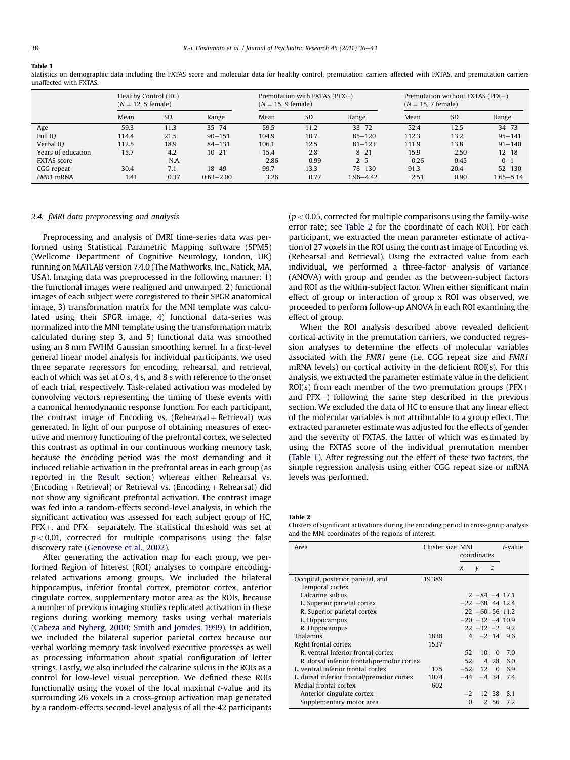## <span id="page-2-0"></span>Table 1

Statistics on demographic data including the FXTAS score and molecular data for healthy control, premutation carriers affected with FXTAS, and premutation carriers unaffected with FXTAS.

|                    | Healthy Control (HC)<br>$(N = 12, 5$ female) |      |               | Premutation with FXTAS ( $PFX+$ )<br>$(N = 15, 9$ female) |      |               | Premutation without FXTAS (PFX-)<br>$(N = 15, 7$ female) |      |               |
|--------------------|----------------------------------------------|------|---------------|-----------------------------------------------------------|------|---------------|----------------------------------------------------------|------|---------------|
|                    | Mean                                         | SD   | Range         | Mean                                                      | SD   | Range         | Mean                                                     | SD   | Range         |
| Age                | 59.3                                         | 11.3 | $35 - 74$     | 59.5                                                      | 11.2 | $33 - 72$     | 52.4                                                     | 12.5 | $34 - 73$     |
| Full IO            | 114.4                                        | 21.5 | $90 - 151$    | 104.9                                                     | 10.7 | $85 - 120$    | 112.3                                                    | 13.2 | $95 - 141$    |
| Verbal IO          | 112.5                                        | 18.9 | $84 - 131$    | 106.1                                                     | 12.5 | $81 - 123$    | 111.9                                                    | 13.8 | $91 - 140$    |
| Years of education | 15.7                                         | 4.2  | $10 - 21$     | 15.4                                                      | 2.8  | $8 - 21$      | 15.9                                                     | 2.50 | $12 - 18$     |
| <b>FXTAS</b> score |                                              | N.A. |               | 2.86                                                      | 0.99 | $2 - 5$       | 0.26                                                     | 0.45 | $0 - 1$       |
| CGG repeat         | 30.4                                         | 7.1  | $18 - 49$     | 99.7                                                      | 13.3 | $78 - 130$    | 91.3                                                     | 20.4 | $52 - 130$    |
| FMR1 mRNA          | 1.41                                         | 0.37 | $0.63 - 2.00$ | 3.26                                                      | 0.77 | $1.96 - 4.42$ | 2.51                                                     | 0.90 | $1.65 - 5.14$ |

## 2.4. fMRI data preprocessing and analysis

Preprocessing and analysis of fMRI time-series data was performed using Statistical Parametric Mapping software (SPM5) (Wellcome Department of Cognitive Neurology, London, UK) running on MATLAB version 7.4.0 (The Mathworks, Inc., Natick, MA, USA). Imaging data was preprocessed in the following manner: 1) the functional images were realigned and unwarped, 2) functional images of each subject were coregistered to their SPGR anatomical image, 3) transformation matrix for the MNI template was calculated using their SPGR image, 4) functional data-series was normalized into the MNI template using the transformation matrix calculated during step 3, and 5) functional data was smoothed using an 8 mm FWHM Gaussian smoothing kernel. In a first-level general linear model analysis for individual participants, we used three separate regressors for encoding, rehearsal, and retrieval, each of which was set at 0 s, 4 s, and 8 s with reference to the onset of each trial, respectively. Task-related activation was modeled by convolving vectors representing the timing of these events with a canonical hemodynamic response function. For each participant, the contrast image of Encoding vs. (Rehearsal  $+$  Retrieval) was generated. In light of our purpose of obtaining measures of executive and memory functioning of the prefrontal cortex, we selected this contrast as optimal in our continuous working memory task, because the encoding period was the most demanding and it induced reliable activation in the prefrontal areas in each group (as reported in the [Result](#page-3-0) section) whereas either Rehearsal vs. (Encoding  $+$  Retrieval) or Retrieval vs. (Encoding  $+$  Rehearsal) did not show any significant prefrontal activation. The contrast image was fed into a random-effects second-level analysis, in which the significant activation was assessed for each subject group of HC,  $PFX+$ , and  $PFX-$  separately. The statistical threshold was set at  $p < 0.01$ , corrected for multiple comparisons using the false discovery rate ([Genovese et al., 2002](#page-6-0)).

After generating the activation map for each group, we performed Region of Interest (ROI) analyses to compare encodingrelated activations among groups. We included the bilateral hippocampus, inferior frontal cortex, premotor cortex, anterior cingulate cortex, supplementary motor area as the ROIs, because a number of previous imaging studies replicated activation in these regions during working memory tasks using verbal materials ([Cabeza and Nyberg, 2000; Smith and Jonides, 1999](#page-6-0)). In addition, we included the bilateral superior parietal cortex because our verbal working memory task involved executive processes as well as processing information about spatial configuration of letter strings. Lastly, we also included the calcarine sulcus in the ROIs as a control for low-level visual perception. We defined these ROIs functionally using the voxel of the local maximal t-value and its surrounding 26 voxels in a cross-group activation map generated by a random-effects second-level analysis of all the 42 participants  $(p < 0.05$ , corrected for multiple comparisons using the family-wise error rate; see Table 2 for the coordinate of each ROI). For each participant, we extracted the mean parameter estimate of activation of 27 voxels in the ROI using the contrast image of Encoding vs. (Rehearsal and Retrieval). Using the extracted value from each individual, we performed a three-factor analysis of variance (ANOVA) with group and gender as the between-subject factors and ROI as the within-subject factor. When either significant main effect of group or interaction of group x ROI was observed, we proceeded to perform follow-up ANOVA in each ROI examining the effect of group.

When the ROI analysis described above revealed deficient cortical activity in the premutation carriers, we conducted regression analyses to determine the effects of molecular variables associated with the FMR1 gene (i.e. CGG repeat size and FMR1 mRNA levels) on cortical activity in the deficient ROI(s). For this analysis, we extracted the parameter estimate value in the deficient ROI(s) from each member of the two premutation groups ( $PFX$ + and PFX-) following the same step described in the previous section. We excluded the data of HC to ensure that any linear effect of the molecular variables is not attributable to a group effect. The extracted parameter estimate was adjusted for the effects of gender and the severity of FXTAS, the latter of which was estimated by using the FXTAS score of the individual premutation member (Table 1). After regressing out the effect of these two factors, the simple regression analysis using either CGG repeat size or mRNA levels was performed.

Table 2

Clusters of significant activations during the encoding period in cross-group analysis and the MNI coordinates of the regions of interest.

| Area                                       | Cluster size MNI | coordinates |                       |          | t-value |
|--------------------------------------------|------------------|-------------|-----------------------|----------|---------|
|                                            |                  | $\chi$      | y                     | z        |         |
| Occipital, posterior parietal, and         | 19389            |             |                       |          |         |
| temporal cortex                            |                  |             |                       |          |         |
| Calcarine sulcus                           |                  |             | $2 - 84 - 4$ 17.1     |          |         |
| L. Superior parietal cortex                |                  |             | $-22 -68$ 44 12.4     |          |         |
| R. Superior parietal cortex                |                  |             | $22 - 60$ 56 11.2     |          |         |
| L. Hippocampus                             |                  |             | $-20$ $-32$ $-4$ 10.9 |          |         |
| R. Hippocampus                             |                  |             | $22 - 32 - 2$ 9.2     |          |         |
| Thalamus                                   | 1838             |             | $4 - 2$ 14 9.6        |          |         |
| Right frontal cortex                       | 1537             |             |                       |          |         |
| R. ventral Inferior frontal cortex         |                  | 52          | 10                    | $\Omega$ | 7.0     |
| R. dorsal inferior frontal/premotor cortex |                  | 52          |                       | 4 28     | 6.0     |
| L. ventral Inferior frontal cortex         | 175              |             | $-52$ 12              | $\Omega$ | 6.9     |
| L. dorsal inferior frontal/premotor cortex | 1074             |             | $-44$ $-4$ 34         |          | 7.4     |
| Medial frontal cortex                      | 602              |             |                       |          |         |
| Anterior cingulate cortex                  |                  | $-2$        |                       | 12 38    | 8.1     |
| Supplementary motor area                   |                  | $\Omega$    |                       | 2 56     | 7.2     |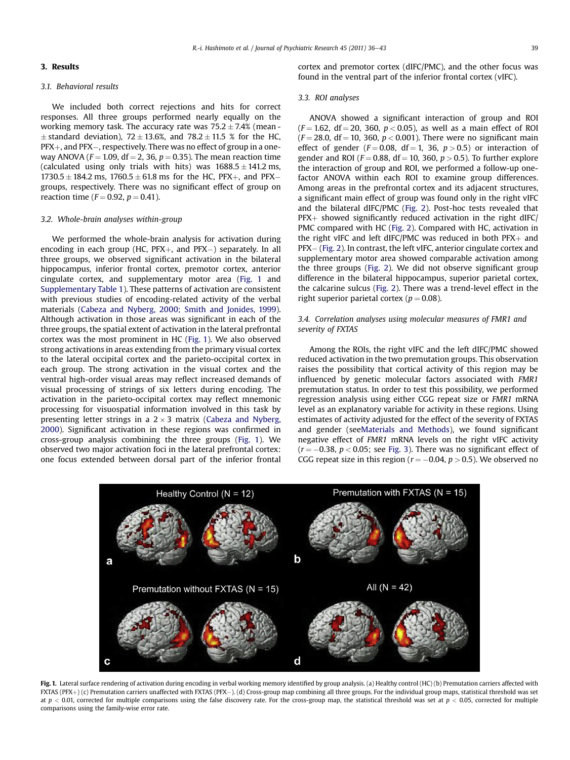## <span id="page-3-0"></span>3. Results

## 3.1. Behavioral results

We included both correct rejections and hits for correct responses. All three groups performed nearly equally on the working memory task. The accuracy rate was  $75.2 \pm 7.4\%$  (mean - $\pm$  standard deviation), 72  $\pm$  13.6%, and 78.2  $\pm$  11.5 % for the HC,  $\mathrm{PFX}{}{+}$ , and  $\mathrm{PFX}{}{-}$ , respectively. There was no effect of group in a oneway ANOVA ( $F = 1.09$ , df = 2, 36,  $p = 0.35$ ). The mean reaction time (calculated using only trials with hits) was  $1688.5 \pm 141.2$  ms,  $1730.5 \pm 184.2$  ms,  $1760.5 \pm 61.8$  ms for the HC, PFX+, and PFXgroups, respectively. There was no significant effect of group on reaction time ( $F = 0.92$ ,  $p = 0.41$ ).

#### 3.2. Whole-brain analyses within-group

We performed the whole-brain analysis for activation during encoding in each group (HC,  $PFX+$ , and  $PFX-$ ) separately. In all three groups, we observed significant activation in the bilateral hippocampus, inferior frontal cortex, premotor cortex, anterior cingulate cortex, and supplementary motor area (Fig. 1 and Supplementary Table 1). These patterns of activation are consistent with previous studies of encoding-related activity of the verbal materials ([Cabeza and Nyberg, 2000; Smith and Jonides, 1999\)](#page-6-0). Although activation in those areas was significant in each of the three groups, the spatial extent of activation in the lateral prefrontal cortex was the most prominent in HC (Fig. 1). We also observed strong activations in areas extending from the primary visual cortex to the lateral occipital cortex and the parieto-occipital cortex in each group. The strong activation in the visual cortex and the ventral high-order visual areas may reflect increased demands of visual processing of strings of six letters during encoding. The activation in the parieto-occipital cortex may reflect mnemonic processing for visuospatial information involved in this task by presenting letter strings in a  $2 \times 3$  matrix ([Cabeza and Nyberg,](#page-6-0) [2000](#page-6-0)). Significant activation in these regions was confirmed in cross-group analysis combining the three groups (Fig. 1). We observed two major activation foci in the lateral prefrontal cortex: one focus extended between dorsal part of the inferior frontal

cortex and premotor cortex (dIFC/PMC), and the other focus was found in the ventral part of the inferior frontal cortex (vIFC).

## 3.3. ROI analyses

ANOVA showed a significant interaction of group and ROI  $(F = 1.62, df = 20, 360, p < 0.05)$ , as well as a main effect of ROI  $(F = 28.0, df = 10, 360, p < 0.001)$ . There were no significant main effect of gender ( $F = 0.08$ , df = 1, 36,  $p > 0.5$ ) or interaction of gender and ROI ( $F = 0.88$ , df = 10, 360,  $p > 0.5$ ). To further explore the interaction of group and ROI, we performed a follow-up onefactor ANOVA within each ROI to examine group differences. Among areas in the prefrontal cortex and its adjacent structures, a significant main effect of group was found only in the right vIFC and the bilateral dIFC/PMC [\(Fig. 2\)](#page-4-0). Post-hoc tests revealed that  $PFX+$  showed significantly reduced activation in the right dIFC/ PMC compared with HC [\(Fig. 2\)](#page-4-0). Compared with HC, activation in the right vIFC and left dIFC/PMC was reduced in both  $PFX<sub>+</sub>$  and PFX- ([Fig. 2](#page-4-0)). In contrast, the left vIFC, anterior cingulate cortex and supplementary motor area showed comparable activation among the three groups [\(Fig. 2\)](#page-4-0). We did not observe significant group difference in the bilateral hippocampus, superior parietal cortex, the calcarine sulcus ([Fig. 2\)](#page-4-0). There was a trend-level effect in the right superior parietal cortex ( $p = 0.08$ ).

## 3.4. Correlation analyses using molecular measures of FMR1 and severity of FXTAS

Among the ROIs, the right vIFC and the left dIFC/PMC showed reduced activation in the two premutation groups. This observation raises the possibility that cortical activity of this region may be influenced by genetic molecular factors associated with FMR1 premutation status. In order to test this possibility, we performed regression analysis using either CGG repeat size or FMR1 mRNA level as an explanatory variable for activity in these regions. Using estimates of activity adjusted for the effect of the severity of FXTAS and gender (se[eMaterials and Methods\)](#page-1-0), we found significant negative effect of FMR1 mRNA levels on the right vIFC activity  $(r = -0.38, p < 0.05$ ; see [Fig. 3\)](#page-5-0). There was no significant effect of CGG repeat size in this region ( $r = -0.04$ ,  $p > 0.5$ ). We observed no



Fig. 1. Lateral surface rendering of activation during encoding in verbal working memory identified by group analysis. (a) Healthy control (HC) (b) Premutation carriers affected with  $\texttt{FXIAS}$  (PFX $+$  ) (c) Premutation carriers unaffected with FXTAS (PFX $-$  ). (d) Cross-group map combining all three groups. For the individual group maps, statistical threshold was set at  $p < 0.01$ , corrected for multiple comparisons using the false discovery rate. For the cross-group map, the statistical threshold was set at  $p < 0.05$ , corrected for multiple comparisons using the family-wise error rate.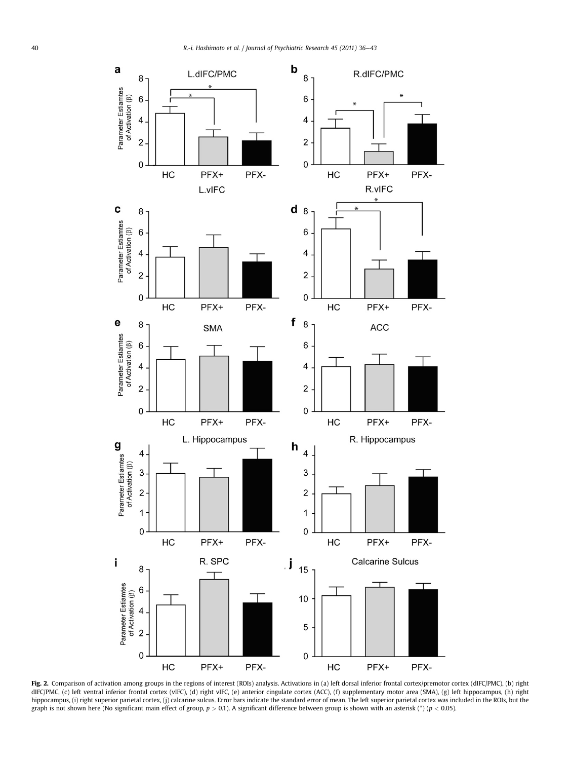<span id="page-4-0"></span>

Fig. 2. Comparison of activation among groups in the regions of interest (ROIs) analysis. Activations in (a) left dorsal inferior frontal cortex/premotor cortex (dIFC/PMC), (b) right dIFC/PMC, (c) left ventral inferior frontal cortex (vIFC), (d) right vIFC, (e) anterior cingulate cortex (ACC), (f) supplementary motor area (SMA), (g) left hippocampus, (h) right hippocampus, (i) right superior parietal cortex, (j) calcarine sulcus. Error bars indicate the standard error of mean. The left superior parietal cortex was included in the ROIs, but the graph is not shown here (No significant main effect of group,  $p > 0.1$ ). A significant difference between group is shown with an asterisk (\*) ( $p < 0.05$ ).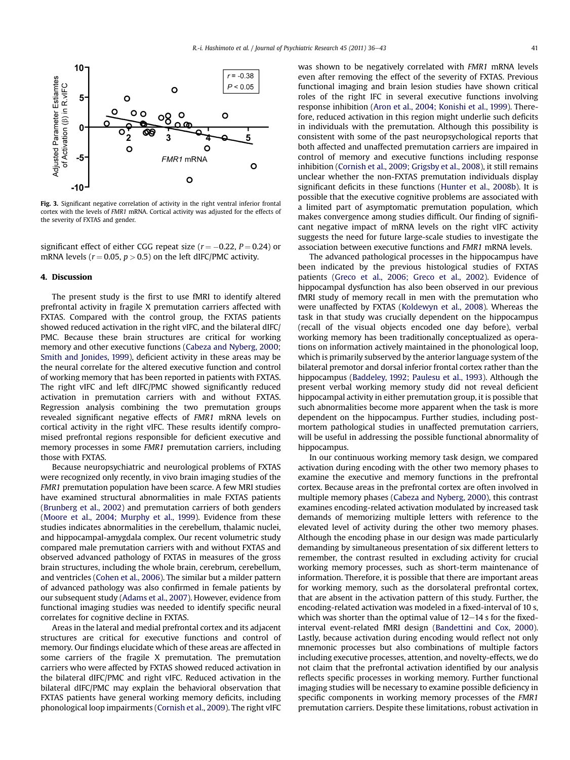<span id="page-5-0"></span>

Fig. 3. Significant negative correlation of activity in the right ventral inferior frontal cortex with the levels of FMR1 mRNA. Cortical activity was adjusted for the effects of the severity of FXTAS and gender.

significant effect of either CGG repeat size  $(r = -0.22, P = 0.24)$  or mRNA levels ( $r = 0.05$ ,  $p > 0.5$ ) on the left dIFC/PMC activity.

#### 4. Discussion

The present study is the first to use fMRI to identify altered prefrontal activity in fragile X premutation carriers affected with FXTAS. Compared with the control group, the FXTAS patients showed reduced activation in the right vIFC, and the bilateral dIFC/ PMC. Because these brain structures are critical for working memory and other executive functions [\(Cabeza and Nyberg, 2000;](#page-6-0) [Smith and Jonides, 1999\)](#page-6-0), deficient activity in these areas may be the neural correlate for the altered executive function and control of working memory that has been reported in patients with FXTAS. The right vIFC and left dIFC/PMC showed significantly reduced activation in premutation carriers with and without FXTAS. Regression analysis combining the two premutation groups revealed significant negative effects of FMR1 mRNA levels on cortical activity in the right vIFC. These results identify compromised prefrontal regions responsible for deficient executive and memory processes in some FMR1 premutation carriers, including those with FXTAS.

Because neuropsychiatric and neurological problems of FXTAS were recognized only recently, in vivo brain imaging studies of the FMR1 premutation population have been scarce. A few MRI studies have examined structural abnormalities in male FXTAS patients ([Brunberg et al., 2002](#page-6-0)) and premutation carriers of both genders ([Moore et al., 2004; Murphy et al., 1999](#page-6-0)). Evidence from these studies indicates abnormalities in the cerebellum, thalamic nuclei, and hippocampal-amygdala complex. Our recent volumetric study compared male premutation carriers with and without FXTAS and observed advanced pathology of FXTAS in measures of the gross brain structures, including the whole brain, cerebrum, cerebellum, and ventricles [\(Cohen et al., 2006](#page-6-0)). The similar but a milder pattern of advanced pathology was also confirmed in female patients by our subsequent study ([Adams et al., 2007\)](#page-6-0). However, evidence from functional imaging studies was needed to identify specific neural correlates for cognitive decline in FXTAS.

Areas in the lateral and medial prefrontal cortex and its adjacent structures are critical for executive functions and control of memory. Our findings elucidate which of these areas are affected in some carriers of the fragile X premutation. The premutation carriers who were affected by FXTAS showed reduced activation in the bilateral dIFC/PMC and right vIFC. Reduced activation in the bilateral dIFC/PMC may explain the behavioral observation that FXTAS patients have general working memory deficits, including phonological loop impairments [\(Cornish et al., 2009](#page-6-0)). The right vIFC was shown to be negatively correlated with FMR1 mRNA levels even after removing the effect of the severity of FXTAS. Previous functional imaging and brain lesion studies have shown critical roles of the right IFC in several executive functions involving response inhibition [\(Aron et al., 2004; Konishi et al., 1999](#page-6-0)). Therefore, reduced activation in this region might underlie such deficits in individuals with the premutation. Although this possibility is consistent with some of the past neuropsychological reports that both affected and unaffected premutation carriers are impaired in control of memory and executive functions including response inhibition ([Cornish et al., 2009; Grigsby et al., 2008\)](#page-6-0), it still remains unclear whether the non-FXTAS premutation individuals display significant deficits in these functions ([Hunter et al., 2008b](#page-6-0)). It is possible that the executive cognitive problems are associated with a limited part of asymptomatic premutation population, which makes convergence among studies difficult. Our finding of significant negative impact of mRNA levels on the right vIFC activity suggests the need for future large-scale studies to investigate the association between executive functions and FMR1 mRNA levels.

The advanced pathological processes in the hippocampus have been indicated by the previous histological studies of FXTAS patients [\(Greco et al., 2006; Greco et al., 2002](#page-6-0)). Evidence of hippocampal dysfunction has also been observed in our previous fMRI study of memory recall in men with the premutation who were unaffected by FXTAS ([Koldewyn et al., 2008](#page-6-0)). Whereas the task in that study was crucially dependent on the hippocampus (recall of the visual objects encoded one day before), verbal working memory has been traditionally conceptualized as operations on information actively maintained in the phonological loop, which is primarily subserved by the anterior language system of the bilateral premotor and dorsal inferior frontal cortex rather than the hippocampus ([Baddeley, 1992; Paulesu et al., 1993\)](#page-6-0). Although the present verbal working memory study did not reveal deficient hippocampal activity in either premutation group, it is possible that such abnormalities become more apparent when the task is more dependent on the hippocampus. Further studies, including postmortem pathological studies in unaffected premutation carriers, will be useful in addressing the possible functional abnormality of hippocampus.

In our continuous working memory task design, we compared activation during encoding with the other two memory phases to examine the executive and memory functions in the prefrontal cortex. Because areas in the prefrontal cortex are often involved in multiple memory phases [\(Cabeza and Nyberg, 2000](#page-6-0)), this contrast examines encoding-related activation modulated by increased task demands of memorizing multiple letters with reference to the elevated level of activity during the other two memory phases. Although the encoding phase in our design was made particularly demanding by simultaneous presentation of six different letters to remember, the contrast resulted in excluding activity for crucial working memory processes, such as short-term maintenance of information. Therefore, it is possible that there are important areas for working memory, such as the dorsolateral prefrontal cortex, that are absent in the activation pattern of this study. Further, the encoding-related activation was modeled in a fixed-interval of 10 s, which was shorter than the optimal value of  $12-14$  s for the fixedinterval event-related fMRI design [\(Bandettini and Cox, 2000\)](#page-6-0). Lastly, because activation during encoding would reflect not only mnemonic processes but also combinations of multiple factors including executive processes, attention, and novelty-effects, we do not claim that the prefrontal activation identified by our analysis reflects specific processes in working memory. Further functional imaging studies will be necessary to examine possible deficiency in specific components in working memory processes of the FMR1 premutation carriers. Despite these limitations, robust activation in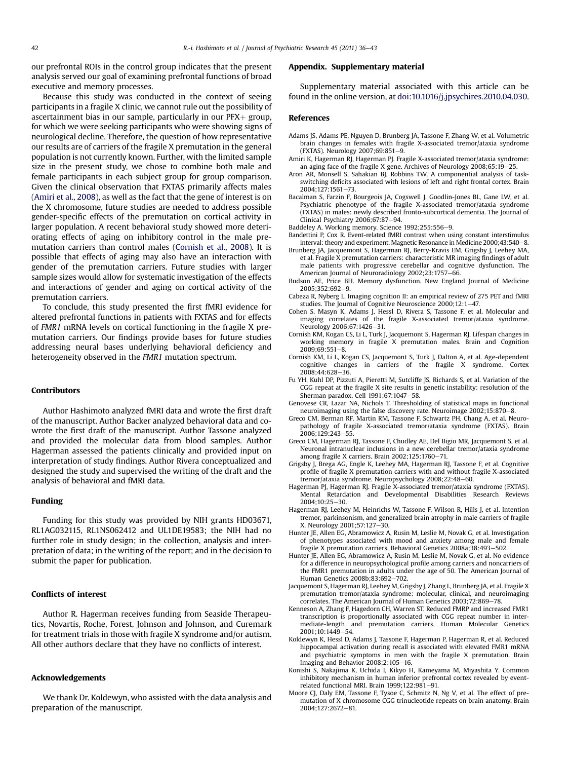<span id="page-6-0"></span>our prefrontal ROIs in the control group indicates that the present analysis served our goal of examining prefrontal functions of broad executive and memory processes.

Because this study was conducted in the context of seeing participants in a fragile X clinic, we cannot rule out the possibility of ascertainment bias in our sample, particularly in our  $PFX + group$ , for which we were seeking participants who were showing signs of neurological decline. Therefore, the question of how representative our results are of carriers of the fragile X premutation in the general population is not currently known. Further, with the limited sample size in the present study, we chose to combine both male and female participants in each subject group for group comparison. Given the clinical observation that FXTAS primarily affects males (Amiri et al., 2008), as well as the fact that the gene of interest is on the X chromosome, future studies are needed to address possible gender-specific effects of the premutation on cortical activity in larger population. A recent behavioral study showed more deteriorating effects of aging on inhibitory control in the male premutation carriers than control males (Cornish et al., 2008). It is possible that effects of aging may also have an interaction with gender of the premutation carriers. Future studies with larger sample sizes would allow for systematic investigation of the effects and interactions of gender and aging on cortical activity of the premutation carriers.

To conclude, this study presented the first fMRI evidence for altered prefrontal functions in patients with FXTAS and for effects of FMR1 mRNA levels on cortical functioning in the fragile X premutation carriers. Our findings provide bases for future studies addressing neural bases underlying behavioral deficiency and heterogeneity observed in the FMR1 mutation spectrum.

#### Contributors

Author Hashimoto analyzed fMRI data and wrote the first draft of the manuscript. Author Backer analyzed behavioral data and cowrote the first draft of the manuscript. Author Tassone analyzed and provided the molecular data from blood samples. Author Hagerman assessed the patients clinically and provided input on interpretation of study findings. Author Rivera conceptualized and designed the study and supervised the writing of the draft and the analysis of behavioral and fMRI data.

#### Funding

Funding for this study was provided by NIH grants HD03671, RL1AG032115, RL1NS062412 and UL1DE19583; the NIH had no further role in study design; in the collection, analysis and interpretation of data; in the writing of the report; and in the decision to submit the paper for publication.

### Conflicts of interest

Author R. Hagerman receives funding from Seaside Therapeutics, Novartis, Roche, Forest, Johnson and Johnson, and Curemark for treatment trials in those with fragile X syndrome and/or autism. All other authors declare that they have no conflicts of interest.

## Acknowledgements

We thank Dr. Koldewyn, who assisted with the data analysis and preparation of the manuscript.

#### Appendix. Supplementary material

Supplementary material associated with this article can be found in the online version, at [doi:10.1016/j.jpsychires.2010.04.030](http://dx.doi.org/10.1016/j.jpsychires.2010.04.030).

#### References

- Adams JS, Adams PE, Nguyen D, Brunberg JA, Tassone F, Zhang W, et al. Volumetric brain changes in females with fragile X-associated tremor/ataxia syndrome (FXTAS). Neurology 2007;69:851-9.
- Amiri K, Hagerman RJ, Hagerman PJ. Fragile X-associated tremor/ataxia syndrome: an aging face of the fragile X gene. Archives of Neurology  $2008;65:19-25$ .
- Aron AR, Monsell S, Sahakian BJ, Robbins TW. A componential analysis of taskswitching deficits associated with lesions of left and right frontal cortex. Brain 2004;127:1561-73.
- Bacalman S, Farzin F, Bourgeois JA, Cogswell J, Goodlin-Jones BL, Gane LW, et al. Psychiatric phenotype of the fragile X-associated tremor/ataxia syndrome (FXTAS) in males: newly described fronto-subcortical dementia. The Journal of Clinical Psychiatry 2006;67:87-94.
- Baddeley A. Working memory. Science 1992;255:556-9.
- Bandettini P, Cox R. Event-related fMRI contrast when using constant interstimulus interval: theory and experiment. Magnetic Resonance in Medicine 2000;43:540-8.
- Brunberg JA, Jacquemont S, Hagerman RJ, Berry-Kravis EM, Grigsby J, Leehey MA, et al. Fragile X premutation carriers: characteristic MR imaging findings of adult male patients with progressive cerebellar and cognitive dysfunction. The American Journal of Neuroradiology 2002;23:1757-66.
- Budson AE, Price BH. Memory dysfunction. New England Journal of Medicine 2005:352:692-9.
- Cabeza R, Nyberg L. Imaging cognition II: an empirical review of 275 PET and fMRI studies. The Journal of Cognitive Neuroscience 2000;12:1-47.
- Cohen S, Masyn K, Adams J, Hessl D, Rivera S, Tassone F, et al. Molecular and imaging correlates of the fragile X-associated tremor/ataxia syndrome. Neurology 2006;67:1426-31.
- Cornish KM, Kogan CS, Li L, Turk J, Jacquemont S, Hagerman RJ. Lifespan changes in working memory in fragile X premutation males. Brain and Cognition  $2009:69:551-8.$
- Cornish KM, Li L, Kogan CS, Jacquemont S, Turk J, Dalton A, et al. Age-dependent cognitive changes in carriers of the fragile X syndrome. Cortex 2008;44:628-36.
- Fu YH, Kuhl DP, Pizzuti A, Pieretti M, Sutcliffe JS, Richards S, et al. Variation of the CGG repeat at the fragile X site results in genetic instability: resolution of the Sherman paradox. Cell 1991;67:1047-58.
- Genovese CR, Lazar NA, Nichols T. Thresholding of statistical maps in functional neuroimaging using the false discovery rate. Neuroimage 2002;15:870-8.
- Greco CM, Berman RF, Martin RM, Tassone F, Schwartz PH, Chang A, et al. Neuropathology of fragile X-associated tremor/ataxia syndrome (FXTAS). Brain -<br>2006;129:243–55.
- Greco CM, Hagerman RJ, Tassone F, Chudley AE, Del Bigio MR, Jacquemont S, et al. Neuronal intranuclear inclusions in a new cerebellar tremor/ataxia syndrome among fragile X carriers. Brain  $2002;125:1760-71$ .
- Grigsby J, Brega AG, Engle K, Leehey MA, Hagerman RJ, Tassone F, et al. Cognitive profile of fragile X premutation carriers with and without fragile X-associated tremor/ataxia syndrome. Neuropsychology 2008;22:48-60.
- Hagerman PJ, Hagerman RJ. Fragile X-associated tremor/ataxia syndrome (FXTAS). Mental Retardation and Developmental Disabilities Research Reviews  $2004:10:25-30.$
- Hagerman RJ, Leehey M, Heinrichs W, Tassone F, Wilson R, Hills J, et al. Intention tremor, parkinsonism, and generalized brain atrophy in male carriers of fragile X. Neurology 2001;57:127-30.
- Hunter JE, Allen EG, Abramowicz A, Rusin M, Leslie M, Novak G, et al. Investigation of phenotypes associated with mood and anxiety among male and female fragile X premutation carriers. Behavioral Genetics 2008a;  $\overline{3}8:493-502$ .
- Hunter JE, Allen EG, Abramowicz A, Rusin M, Leslie M, Novak G, et al. No evidence for a difference in neuropsychological profile among carriers and noncarriers of the FMR1 premutation in adults under the age of 50. The American Journal of Human Genetics 2008b;83:692-702.
- Jacquemont S, Hagerman RJ, Leehey M, Grigsby J, Zhang L, Brunberg JA, et al. Fragile X premutation tremor/ataxia syndrome: molecular, clinical, and neuroimaging correlates. The American Journal of Human Genetics 2003;72:869-78.
- Kenneson A, Zhang F, Hagedorn CH, Warren ST. Reduced FMRP and increased FMR1 transcription is proportionally associated with CGG repeat number in intermediate-length and premutation carriers. Human Molecular Genetics 2001:10:1449-54.
- Koldewyn K, Hessl D, Adams J, Tassone F, Hagerman P, Hagerman R, et al. Reduced hippocampal activation during recall is associated with elevated FMR1 mRNA and psychiatric symptoms in men with the fragile X premutation. Brain Imaging and Behavior  $2008;2:105-16$ .
- Konishi S, Nakajima K, Uchida I, Kikyo H, Kameyama M, Miyashita Y. Common inhibitory mechanism in human inferior prefrontal cortex revealed by eventrelated functional MRI. Brain 1999;122:981-91.
- Moore CJ, Daly EM, Tassone F, Tysoe C, Schmitz N, Ng V, et al. The effect of premutation of X chromosome CGG trinucleotide repeats on brain anatomy. Brain 2004;127:2672-81.